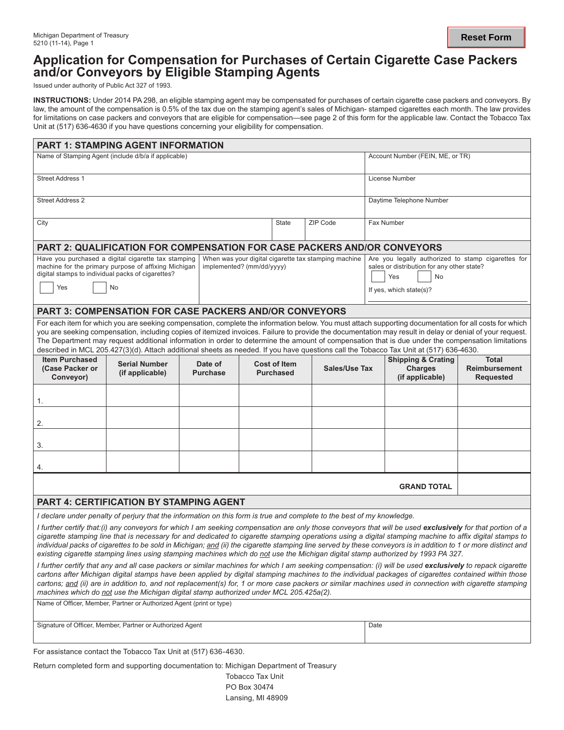## **Application for Compensation for Purchases of Certain Cigarette Case Packers and/or Conveyors by Eligible Stamping Agents**

Issued under authority of Public Act 327 of 1993.

**INSTRUCTIONS:** Under 2014 PA 298, an eligible stamping agent may be compensated for purchases of certain cigarette case packers and conveyors. By law, the amount of the compensation is 0.5% of the tax due on the stamping agent's sales of Michigan- stamped cigarettes each month. The law provides for limitations on case packers and conveyors that are eligible for compensation—see page 2 of this form for the applicable law. Contact the Tobacco Tax Unit at (517) 636-4630 if you have questions concerning your eligibility for compensation.

| <b>PART 1: STAMPING AGENT INFORMATION</b>                                                                                                                                                                                                                                                                                                                                                                                                                                                                                                                                                                                                                                                                                                             |                                         |                                                                                   |  |                                         |                                                                                                                                          |                          |                                                                    |                                                          |  |
|-------------------------------------------------------------------------------------------------------------------------------------------------------------------------------------------------------------------------------------------------------------------------------------------------------------------------------------------------------------------------------------------------------------------------------------------------------------------------------------------------------------------------------------------------------------------------------------------------------------------------------------------------------------------------------------------------------------------------------------------------------|-----------------------------------------|-----------------------------------------------------------------------------------|--|-----------------------------------------|------------------------------------------------------------------------------------------------------------------------------------------|--------------------------|--------------------------------------------------------------------|----------------------------------------------------------|--|
| Name of Stamping Agent (include d/b/a if applicable)                                                                                                                                                                                                                                                                                                                                                                                                                                                                                                                                                                                                                                                                                                  |                                         |                                                                                   |  |                                         |                                                                                                                                          |                          | Account Number (FEIN, ME, or TR)                                   |                                                          |  |
| <b>Street Address 1</b>                                                                                                                                                                                                                                                                                                                                                                                                                                                                                                                                                                                                                                                                                                                               |                                         |                                                                                   |  |                                         |                                                                                                                                          | License Number           |                                                                    |                                                          |  |
| <b>Street Address 2</b>                                                                                                                                                                                                                                                                                                                                                                                                                                                                                                                                                                                                                                                                                                                               |                                         |                                                                                   |  |                                         |                                                                                                                                          | Daytime Telephone Number |                                                                    |                                                          |  |
| City                                                                                                                                                                                                                                                                                                                                                                                                                                                                                                                                                                                                                                                                                                                                                  |                                         |                                                                                   |  | State                                   | ZIP Code                                                                                                                                 | Fax Number               |                                                                    |                                                          |  |
| <b>PART 2: QUALIFICATION FOR COMPENSATION FOR CASE PACKERS AND/OR CONVEYORS</b>                                                                                                                                                                                                                                                                                                                                                                                                                                                                                                                                                                                                                                                                       |                                         |                                                                                   |  |                                         |                                                                                                                                          |                          |                                                                    |                                                          |  |
| Have you purchased a digital cigarette tax stamping<br>machine for the primary purpose of affixing Michigan<br>digital stamps to individual packs of cigarettes?<br>Yes                                                                                                                                                                                                                                                                                                                                                                                                                                                                                                                                                                               |                                         | When was your digital cigarette tax stamping machine<br>implemented? (mm/dd/yyyy) |  |                                         | Are you legally authorized to stamp cigarettes for<br>sales or distribution for any other state?<br>Yes<br>No<br>If yes, which state(s)? |                          |                                                                    |                                                          |  |
| <b>PART 3: COMPENSATION FOR CASE PACKERS AND/OR CONVEYORS</b>                                                                                                                                                                                                                                                                                                                                                                                                                                                                                                                                                                                                                                                                                         |                                         |                                                                                   |  |                                         |                                                                                                                                          |                          |                                                                    |                                                          |  |
| For each item for which you are seeking compensation, complete the information below. You must attach supporting documentation for all costs for which<br>you are seeking compensation, including copies of itemized invoices. Failure to provide the documentation may result in delay or denial of your request.<br>The Department may request additional information in order to determine the amount of compensation that is due under the compensation limitations<br>described in MCL 205.427(3)(d). Attach additional sheets as needed. If you have questions call the Tobacco Tax Unit at (517) 636-4630.                                                                                                                                     |                                         |                                                                                   |  |                                         |                                                                                                                                          |                          |                                                                    |                                                          |  |
| <b>Item Purchased</b><br>(Case Packer or<br>Conveyor)                                                                                                                                                                                                                                                                                                                                                                                                                                                                                                                                                                                                                                                                                                 | <b>Serial Number</b><br>(if applicable) | Date of<br><b>Purchase</b>                                                        |  | <b>Cost of Item</b><br><b>Purchased</b> | <b>Sales/Use Tax</b>                                                                                                                     |                          | <b>Shipping &amp; Crating</b><br><b>Charges</b><br>(if applicable) | <b>Total</b><br><b>Reimbursement</b><br><b>Requested</b> |  |
| 1.                                                                                                                                                                                                                                                                                                                                                                                                                                                                                                                                                                                                                                                                                                                                                    |                                         |                                                                                   |  |                                         |                                                                                                                                          |                          |                                                                    |                                                          |  |
| 2.                                                                                                                                                                                                                                                                                                                                                                                                                                                                                                                                                                                                                                                                                                                                                    |                                         |                                                                                   |  |                                         |                                                                                                                                          |                          |                                                                    |                                                          |  |
| 3.                                                                                                                                                                                                                                                                                                                                                                                                                                                                                                                                                                                                                                                                                                                                                    |                                         |                                                                                   |  |                                         |                                                                                                                                          |                          |                                                                    |                                                          |  |
| 4.                                                                                                                                                                                                                                                                                                                                                                                                                                                                                                                                                                                                                                                                                                                                                    |                                         |                                                                                   |  |                                         |                                                                                                                                          |                          |                                                                    |                                                          |  |
| <b>GRAND TOTAL</b>                                                                                                                                                                                                                                                                                                                                                                                                                                                                                                                                                                                                                                                                                                                                    |                                         |                                                                                   |  |                                         |                                                                                                                                          |                          |                                                                    |                                                          |  |
| <b>PART 4: CERTIFICATION BY STAMPING AGENT</b>                                                                                                                                                                                                                                                                                                                                                                                                                                                                                                                                                                                                                                                                                                        |                                         |                                                                                   |  |                                         |                                                                                                                                          |                          |                                                                    |                                                          |  |
| I declare under penalty of perjury that the information on this form is true and complete to the best of my knowledge.<br>I further certify that:(i) any conveyors for which I am seeking compensation are only those conveyors that will be used exclusively for that portion of a<br>cigarette stamping line that is necessary for and dedicated to cigarette stamping operations using a digital stamping machine to affix digital stamps to<br>individual packs of cigarettes to be sold in Michigan; and (ii) the cigarette stamping line served by these conveyors is in addition to 1 or more distinct and<br>existing cigarette stamping lines using stamping machines which do not use the Michigan digital stamp authorized by 1993 PA 327. |                                         |                                                                                   |  |                                         |                                                                                                                                          |                          |                                                                    |                                                          |  |
| I further certify that any and all case packers or similar machines for which I am seeking compensation: (i) will be used exclusively to repack cigarette<br>cartons after Michigan digital stamps have been applied by digital stamping machines to the individual packages of cigarettes contained within those<br>cartons; and (ii) are in addition to, and not replacement(s) for, 1 or more case packers or similar machines used in connection with cigarette stamping<br>machines which do not use the Michigan digital stamp authorized under MCL 205.425a(2).                                                                                                                                                                                |                                         |                                                                                   |  |                                         |                                                                                                                                          |                          |                                                                    |                                                          |  |
| Name of Officer, Member, Partner or Authorized Agent (print or type)                                                                                                                                                                                                                                                                                                                                                                                                                                                                                                                                                                                                                                                                                  |                                         |                                                                                   |  |                                         |                                                                                                                                          |                          |                                                                    |                                                          |  |
| Signature of Officer, Member, Partner or Authorized Agent                                                                                                                                                                                                                                                                                                                                                                                                                                                                                                                                                                                                                                                                                             |                                         |                                                                                   |  |                                         |                                                                                                                                          | Date                     |                                                                    |                                                          |  |
| For assistance contact the Tobacco Tax Unit at (517) 636-4630.                                                                                                                                                                                                                                                                                                                                                                                                                                                                                                                                                                                                                                                                                        |                                         |                                                                                   |  |                                         |                                                                                                                                          |                          |                                                                    |                                                          |  |

Return completed form and supporting documentation to: Michigan Department of Treasury

Tobacco Tax Unit PO Box 30474 Lansing, MI 48909